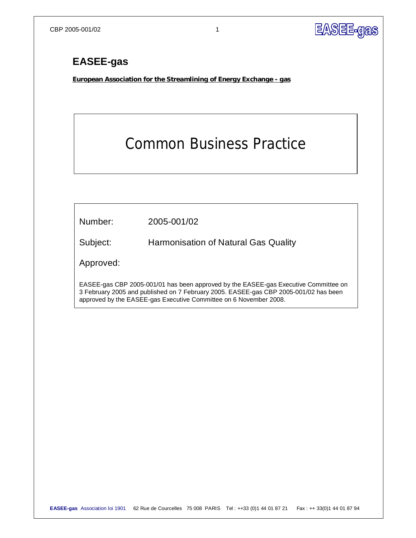

## **EASEE-gas**

**European Association for the Streamlining of Energy Exchange - gas**

# Common Business Practice

| Number:                                                                                                                                                                                                                                          | 2005-001/02                          |  |  |  |
|--------------------------------------------------------------------------------------------------------------------------------------------------------------------------------------------------------------------------------------------------|--------------------------------------|--|--|--|
| Subject:                                                                                                                                                                                                                                         | Harmonisation of Natural Gas Quality |  |  |  |
| Approved:                                                                                                                                                                                                                                        |                                      |  |  |  |
| EASEE-gas CBP 2005-001/01 has been approved by the EASEE-gas Executive Committee on<br>3 February 2005 and published on 7 February 2005. EASEE-gas CBP 2005-001/02 has been<br>approved by the EASEE-gas Executive Committee on 6 November 2008. |                                      |  |  |  |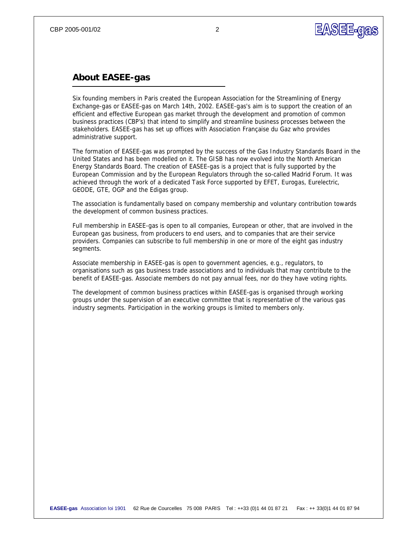

### **About EASEE-gas**

*Six founding members in Paris created the European Association for the Streamlining of Energy Exchange-gas or EASEE-gas on March 14th, 2002. EASEE-gas's aim is to support the creation of an efficient and effective European gas market through the development and promotion of common business practices (CBP's) that intend to simplify and streamline business processes between the stakeholders. EASEE-gas has set up offices with Association Française du Gaz who provides administrative support.* 

*The formation of EASEE-gas was prompted by the success of the Gas Industry Standards Board in the United States and has been modelled on it. The GISB has now evolved into the North American Energy Standards Board. The creation of EASEE-gas is a project that is fully supported by the European Commission and by the European Regulators through the so-called Madrid Forum. It was achieved through the work of a dedicated Task Force supported by EFET, Eurogas, Eurelectric, GEODE, GTE, OGP and the Edigas group.* 

*The association is fundamentally based on company membership and voluntary contribution towards the development of common business practices.* 

*Full membership in EASEE-gas is open to all companies, European or other, that are involved in the European gas business, from producers to end users, and to companies that are their service providers. Companies can subscribe to full membership in one or more of the eight gas industry segments.* 

*Associate membership in EASEE-gas is open to government agencies, e.g., regulators, to organisations such as gas business trade associations and to individuals that may contribute to the benefit of EASEE-gas. Associate members do not pay annual fees, nor do they have voting rights.* 

*The development of common business practices within EASEE-gas is organised through working groups under the supervision of an executive committee that is representative of the various gas industry segments. Participation in the working groups is limited to members only.*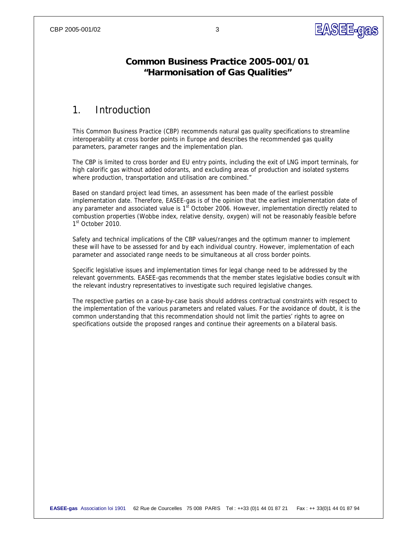

### **Common Business Practice 2005-001/01 "Harmonisation of Gas Qualities"**

### 1. Introduction

This Common Business Practice (CBP) recommends natural gas quality specifications to streamline interoperability at cross border points in Europe and describes the recommended gas quality parameters, parameter ranges and the implementation plan.

The CBP is limited to cross border and EU entry points, including the exit of LNG import terminals, for high calorific gas without added odorants, and excluding areas of production and isolated systems where production, transportation and utilisation are combined."

Based on standard project lead times, an assessment has been made of the earliest possible implementation date. Therefore, EASEE-gas is of the opinion that the earliest implementation date of any parameter and associated value is  $1<sup>st</sup>$  October 2006. However, implementation directly related to combustion properties (Wobbe index, relative density, oxygen) will not be reasonably feasible before 1<sup>st</sup> October 2010.

Safety and technical implications of the CBP values/ranges and the optimum manner to implement these will have to be assessed for and by each individual country. However, implementation of each parameter and associated range needs to be simultaneous at all cross border points.

Specific legislative issues and implementation times for legal change need to be addressed by the relevant governments. EASEE-gas recommends that the member states legislative bodies consult with the relevant industry representatives to investigate such required legislative changes.

The respective parties on a case-by-case basis should address contractual constraints with respect to the implementation of the various parameters and related values. For the avoidance of doubt, it is the common understanding that this recommendation should not limit the parties' rights to agree on specifications outside the proposed ranges and continue their agreements on a bilateral basis.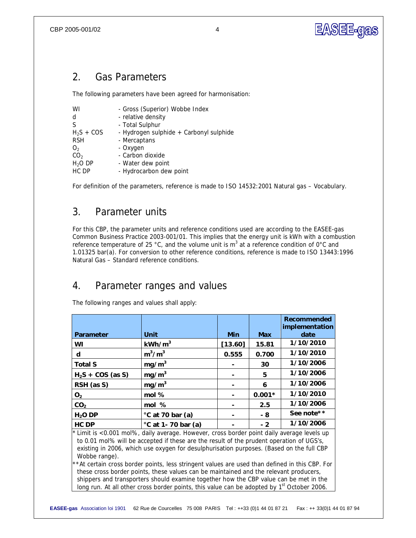

### 2. Gas Parameters

The following parameters have been agreed for harmonisation:

| - Total Sulphur<br>S<br>$H_2S + COS$<br>- Hydrogen sulphide + Carbonyl sulphide<br><b>RSH</b><br>- Mercaptans<br>- Oxygen<br>O <sub>2</sub><br>- Carbon dioxide<br>CO <sub>2</sub><br>H <sub>2</sub> O DP<br>- Water dew point |
|--------------------------------------------------------------------------------------------------------------------------------------------------------------------------------------------------------------------------------|
| HC DP<br>- Hydrocarbon dew point                                                                                                                                                                                               |

For definition of the parameters, reference is made to ISO 14532:2001 Natural gas – Vocabulary.

### 3. Parameter units

For this CBP, the parameter units and reference conditions used are according to the EASEE-gas Common Business Practice 2003-001/01. This implies that the energy unit is kWh with a combustion reference temperature of 25 °C, and the volume unit is m<sup>3</sup> at a reference condition of 0°C and 1.01325 bar(a). For conversion to other reference conditions, reference is made to ISO 13443:1996 Natural Gas – Standard reference conditions.

### 4. Parameter ranges and values

The following ranges and values shall apply:

|                                                                                                                                                                                                                                                                                                                                                                                                     |                    |         |            | Recommended<br>implementation |  |  |
|-----------------------------------------------------------------------------------------------------------------------------------------------------------------------------------------------------------------------------------------------------------------------------------------------------------------------------------------------------------------------------------------------------|--------------------|---------|------------|-------------------------------|--|--|
| Parameter                                                                                                                                                                                                                                                                                                                                                                                           | Unit               | Min     | <b>Max</b> | date                          |  |  |
| WI                                                                                                                                                                                                                                                                                                                                                                                                  | kWh/m <sup>3</sup> | [13.60] | 15.81      | 1/10/2010                     |  |  |
| d                                                                                                                                                                                                                                                                                                                                                                                                   | $m^3/m^3$          | 0.555   | 0.700      | 1/10/2010                     |  |  |
| <b>Total S</b>                                                                                                                                                                                                                                                                                                                                                                                      | mg/m <sup>3</sup>  |         | 30         | 1/10/2006                     |  |  |
| $H2S + COS$ (as S)                                                                                                                                                                                                                                                                                                                                                                                  | mg/m <sup>3</sup>  |         | 5          | 1/10/2006                     |  |  |
| RSH (as S)                                                                                                                                                                                                                                                                                                                                                                                          | mg/m <sup>3</sup>  |         | 6          | 1/10/2006                     |  |  |
| O <sub>2</sub>                                                                                                                                                                                                                                                                                                                                                                                      | mol %              |         | $0.001*$   | 1/10/2010                     |  |  |
| CO <sub>2</sub>                                                                                                                                                                                                                                                                                                                                                                                     | mol %              |         | 2.5        | 1/10/2006                     |  |  |
| H <sub>2</sub> O DP                                                                                                                                                                                                                                                                                                                                                                                 | °C at 70 bar (a)   |         | - 8        | See note * *                  |  |  |
| HC DP                                                                                                                                                                                                                                                                                                                                                                                               | °C at 1-70 bar (a) |         | $-2$       | 1/10/2006                     |  |  |
| Limit is <0.001 mol%, daily average. However, cross border point daily average levels up<br>to 0.01 mol% will be accepted if these are the result of the prudent operation of UGS's,<br>existing in 2006, which use oxygen for desulphurisation purposes. (Based on the full CBP<br>Wobbe range).<br>**At certain cross border points, less stringent values are used than defined in this CBP. For |                    |         |            |                               |  |  |
| these cross border points, these values can be maintained and the relevant producers,                                                                                                                                                                                                                                                                                                               |                    |         |            |                               |  |  |

*shippers and transporters should examine together how the CBP value can be met in the long run. At all other cross border points, this value can be adopted by 1st October 2006.*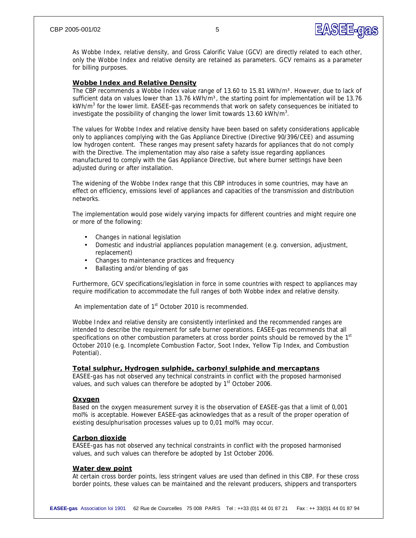# EASEE-GAS

As Wobbe Index, relative density, and Gross Calorific Value (GCV) are directly related to each other, only the Wobbe Index and relative density are retained as parameters. GCV remains as a parameter for billing purposes.

#### **Wobbe Index and Relative Density**

The CBP recommends a Wobbe Index value range of 13.60 to 15.81 kWh/m<sup>3</sup>. However, due to lack of sufficient data on values lower than 13.76 kWh/m<sup>3</sup>, the starting point for implementation will be 13.76 kWh/m<sup>3</sup> for the lower limit. EASEE-gas recommends that work on safety consequences be initiated to investigate the possibility of changing the lower limit towards 13.60 kWh/m<sup>3</sup>.

The values for Wobbe Index and relative density have been based on safety considerations applicable only to appliances complying with the Gas Appliance Directive (Directive 90/396/CEE) and assuming low hydrogen content. These ranges may present safety hazards for appliances that do not comply with the Directive. The implementation may also raise a safety issue regarding appliances manufactured to comply with the Gas Appliance Directive, but where burner settings have been adjusted during or after installation.

The widening of the Wobbe Index range that this CBP introduces in some countries, may have an effect on efficiency, emissions level of appliances and capacities of the transmission and distribution networks.

The implementation would pose widely varying impacts for different countries and might require one or more of the following:

- Changes in national legislation
- Domestic and industrial appliances population management (e.g. conversion, adjustment, replacement)
- Changes to maintenance practices and frequency
- Ballasting and/or blending of gas

Furthermore, GCV specifications/legislation in force in some countries with respect to appliances may require modification to accommodate the full ranges of both Wobbe index and relative density.

An implementation date of 1<sup>st</sup> October 2010 is recommended.

Wobbe Index and relative density are consistently interlinked and the recommended ranges are intended to describe the requirement for safe burner operations. EASEE-gas recommends that all specifications on other combustion parameters at cross border points should be removed by the 1st October 2010 (e.g. Incomplete Combustion Factor, Soot Index, Yellow Tip Index, and Combustion Potential).

#### **Total sulphur, Hydrogen sulphide, carbonyl sulphide and mercaptans**

EASEE-gas has not observed any technical constraints in conflict with the proposed harmonised values, and such values can therefore be adopted by 1<sup>st</sup> October 2006.

#### **Oxygen**

Based on the oxygen measurement survey it is the observation of EASEE-gas that a limit of 0,001 mol% is acceptable. However EASEE-gas acknowledges that as a result of the proper operation of existing desulphurisation processes values up to 0,01 mol% may occur.

#### **Carbon dioxide**

EASEE-gas has not observed any technical constraints in conflict with the proposed harmonised values, and such values can therefore be adopted by 1st October 2006.

#### **Water dew point**

At certain cross border points, less stringent values are used than defined in this CBP. For these cross border points, these values can be maintained and the relevant producers, shippers and transporters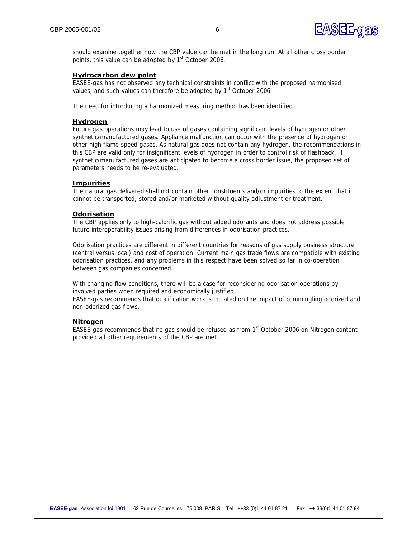

should examine together how the CBP value can be met in the long run. At all other cross border points, this value can be adopted by 1<sup>st</sup> October 2006.

#### **Hydrocarbon dew point**

EASEE-gas has not observed any technical constraints in conflict with the proposed harmonised values, and such values can therefore be adopted by 1<sup>st</sup> October 2006.

The need for introducing a harmonized measuring method has been identified.

#### **Hydrogen**

Future gas operations may lead to use of gases containing significant levels of hydrogen or other synthetic/manufactured gases. Appliance malfunction can occur with the presence of hydrogen or other high flame speed gases. As natural gas does not contain any hydrogen, the recommendations in this CBP are valid only for insignificant levels of hydrogen in order to control risk of flashback. If synthetic/manufactured gases are anticipated to become a cross border issue, the proposed set of parameters needs to be re-evaluated.

### **Impurities**

The natural gas delivered shall not contain other constituents and/or impurities to the extent that it cannot be transported, stored and/or marketed without quality adjustment or treatment.

#### **Odorisation**

The CBP applies only to high-calorific gas without added odorants and does not address possible future interoperability issues arising from differences in odorisation practices.

Odorisation practices are different in different countries for reasons of gas supply business structure (central versus local) and cost of operation. Current main gas trade flows are compatible with existing odorisation practices, and any problems in this respect have been solved so far in co-operation between gas companies concerned.

With changing flow conditions, there will be a case for reconsidering odorisation operations by involved parties when required and economically justified.

EASEE-gas recommends that qualification work is initiated on the impact of commingling odorized and non-odorized gas flows.

#### **Nitrogen**

EASEE-gas recommends that no gas should be refused as from 1<sup>st</sup> October 2006 on Nitrogen content provided all other requirements of the CBP are met.